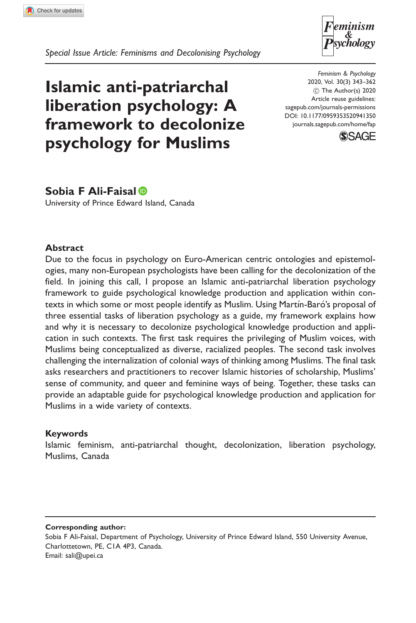

Special Issue Article: Feminisms and Decolonising Psychology

# Islamic anti-patriarchal liberation psychology: A framework to decolonize psychology for Muslims

Feminism & Psychology 2020, Vol. 30(3) 343–362 ! The Author(s) 2020 Article reuse guidelines: [sagepub.com/journals-permissions](http://uk.sagepub.com/en-gb/journals-permissions) [DOI: 10.1177/0959353520941350](http://dx.doi.org/10.1177/0959353520941350) <journals.sagepub.com/home/fap>



# Sobia F Ali-Faisal

University of Prince Edward Island, Canada

## Abstract

Due to the focus in psychology on Euro-American centric ontologies and epistemologies, many non-European psychologists have been calling for the decolonization of the field. In joining this call, I propose an Islamic anti-patriarchal liberation psychology framework to guide psychological knowledge production and application within contexts in which some or most people identify as Muslim. Using Martín-Baró's proposal of three essential tasks of liberation psychology as a guide, my framework explains how and why it is necessary to decolonize psychological knowledge production and application in such contexts. The first task requires the privileging of Muslim voices, with Muslims being conceptualized as diverse, racialized peoples. The second task involves challenging the internalization of colonial ways of thinking among Muslims. The final task asks researchers and practitioners to recover Islamic histories of scholarship, Muslims' sense of community, and queer and feminine ways of being. Together, these tasks can provide an adaptable guide for psychological knowledge production and application for Muslims in a wide variety of contexts.

## Keywords

Islamic feminism, anti-patriarchal thought, decolonization, liberation psychology, Muslims, Canada

#### Corresponding author:

Sobia F Ali-Faisal, Department of Psychology, University of Prince Edward Island, 550 University Avenue, Charlottetown, PE, C1A 4P3, Canada. Email: [sali@upei.ca](mailto:sali@upei.ca)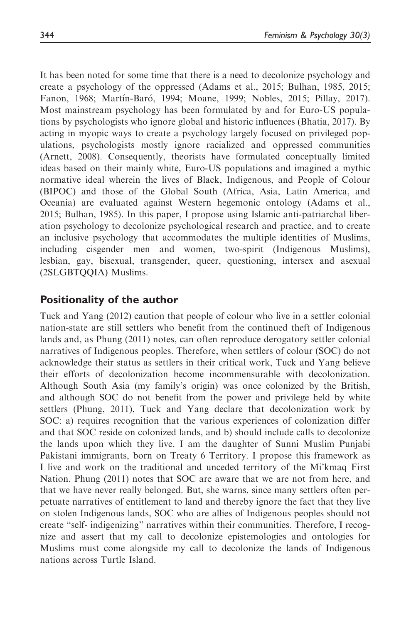It has been noted for some time that there is a need to decolonize psychology and create a psychology of the oppressed (Adams et al., 2015; Bulhan, 1985, 2015; Fanon, 1968; Martín-Baró, 1994; Moane, 1999; Nobles, 2015; Pillay, 2017). Most mainstream psychology has been formulated by and for Euro-US populations by psychologists who ignore global and historic influences (Bhatia, 2017). By acting in myopic ways to create a psychology largely focused on privileged populations, psychologists mostly ignore racialized and oppressed communities (Arnett, 2008). Consequently, theorists have formulated conceptually limited ideas based on their mainly white, Euro-US populations and imagined a mythic normative ideal wherein the lives of Black, Indigenous, and People of Colour (BIPOC) and those of the Global South (Africa, Asia, Latin America, and Oceania) are evaluated against Western hegemonic ontology (Adams et al., 2015; Bulhan, 1985). In this paper, I propose using Islamic anti-patriarchal liberation psychology to decolonize psychological research and practice, and to create an inclusive psychology that accommodates the multiple identities of Muslims, including cisgender men and women, two-spirit (Indigenous Muslims), lesbian, gay, bisexual, transgender, queer, questioning, intersex and asexual (2SLGBTQQIA) Muslims.

# Positionality of the author

Tuck and Yang (2012) caution that people of colour who live in a settler colonial nation-state are still settlers who benefit from the continued theft of Indigenous lands and, as Phung (2011) notes, can often reproduce derogatory settler colonial narratives of Indigenous peoples. Therefore, when settlers of colour (SOC) do not acknowledge their status as settlers in their critical work, Tuck and Yang believe their efforts of decolonization become incommensurable with decolonization. Although South Asia (my family's origin) was once colonized by the British, and although SOC do not benefit from the power and privilege held by white settlers (Phung, 2011), Tuck and Yang declare that decolonization work by SOC: a) requires recognition that the various experiences of colonization differ and that SOC reside on colonized lands, and b) should include calls to decolonize the lands upon which they live. I am the daughter of Sunni Muslim Punjabi Pakistani immigrants, born on Treaty 6 Territory. I propose this framework as I live and work on the traditional and unceded territory of the Mi'kmaq First Nation. Phung (2011) notes that SOC are aware that we are not from here, and that we have never really belonged. But, she warns, since many settlers often perpetuate narratives of entitlement to land and thereby ignore the fact that they live on stolen Indigenous lands, SOC who are allies of Indigenous peoples should not create "self- indigenizing" narratives within their communities. Therefore, I recognize and assert that my call to decolonize epistemologies and ontologies for Muslims must come alongside my call to decolonize the lands of Indigenous nations across Turtle Island.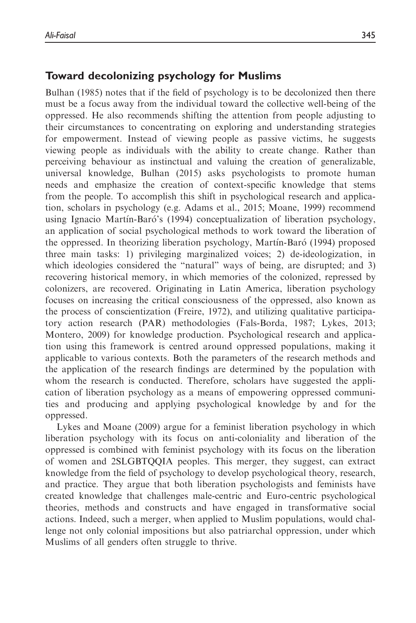# Toward decolonizing psychology for Muslims

Bulhan (1985) notes that if the field of psychology is to be decolonized then there must be a focus away from the individual toward the collective well-being of the oppressed. He also recommends shifting the attention from people adjusting to their circumstances to concentrating on exploring and understanding strategies for empowerment. Instead of viewing people as passive victims, he suggests viewing people as individuals with the ability to create change. Rather than perceiving behaviour as instinctual and valuing the creation of generalizable, universal knowledge, Bulhan (2015) asks psychologists to promote human needs and emphasize the creation of context-specific knowledge that stems from the people. To accomplish this shift in psychological research and application, scholars in psychology (e.g. Adams et al., 2015; Moane, 1999) recommend using Ignacio Martín-Baró's (1994) conceptualization of liberation psychology, an application of social psychological methods to work toward the liberation of the oppressed. In theorizing liberation psychology, Martín-Baró (1994) proposed three main tasks: 1) privileging marginalized voices; 2) de-ideologization, in which ideologies considered the "natural" ways of being, are disrupted; and 3) recovering historical memory, in which memories of the colonized, repressed by colonizers, are recovered. Originating in Latin America, liberation psychology focuses on increasing the critical consciousness of the oppressed, also known as the process of conscientization (Freire, 1972), and utilizing qualitative participatory action research (PAR) methodologies (Fals-Borda, 1987; Lykes, 2013; Montero, 2009) for knowledge production. Psychological research and application using this framework is centred around oppressed populations, making it applicable to various contexts. Both the parameters of the research methods and the application of the research findings are determined by the population with whom the research is conducted. Therefore, scholars have suggested the application of liberation psychology as a means of empowering oppressed communities and producing and applying psychological knowledge by and for the oppressed.

Lykes and Moane (2009) argue for a feminist liberation psychology in which liberation psychology with its focus on anti-coloniality and liberation of the oppressed is combined with feminist psychology with its focus on the liberation of women and 2SLGBTQQIA peoples. This merger, they suggest, can extract knowledge from the field of psychology to develop psychological theory, research, and practice. They argue that both liberation psychologists and feminists have created knowledge that challenges male-centric and Euro-centric psychological theories, methods and constructs and have engaged in transformative social actions. Indeed, such a merger, when applied to Muslim populations, would challenge not only colonial impositions but also patriarchal oppression, under which Muslims of all genders often struggle to thrive.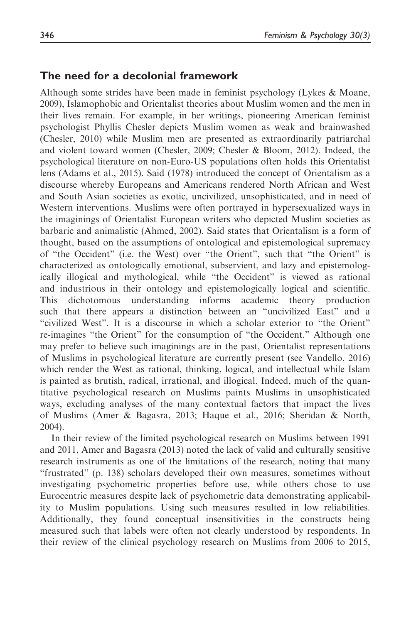## The need for a decolonial framework

Although some strides have been made in feminist psychology (Lykes & Moane, 2009), Islamophobic and Orientalist theories about Muslim women and the men in their lives remain. For example, in her writings, pioneering American feminist psychologist Phyllis Chesler depicts Muslim women as weak and brainwashed (Chesler, 2010) while Muslim men are presented as extraordinarily patriarchal and violent toward women (Chesler, 2009; Chesler & Bloom, 2012). Indeed, the psychological literature on non-Euro-US populations often holds this Orientalist lens (Adams et al., 2015). Said (1978) introduced the concept of Orientalism as a discourse whereby Europeans and Americans rendered North African and West and South Asian societies as exotic, uncivilized, unsophisticated, and in need of Western interventions. Muslims were often portrayed in hypersexualized ways in the imaginings of Orientalist European writers who depicted Muslim societies as barbaric and animalistic (Ahmed, 2002). Said states that Orientalism is a form of thought, based on the assumptions of ontological and epistemological supremacy of "the Occident" (i.e. the West) over "the Orient", such that "the Orient" is characterized as ontologically emotional, subservient, and lazy and epistemologically illogical and mythological, while "the Occident" is viewed as rational and industrious in their ontology and epistemologically logical and scientific. This dichotomous understanding informs academic theory production such that there appears a distinction between an "uncivilized East" and a "civilized West". It is a discourse in which a scholar exterior to "the Orient" re-imagines "the Orient" for the consumption of "the Occident." Although one may prefer to believe such imaginings are in the past, Orientalist representations of Muslims in psychological literature are currently present (see Vandello, 2016) which render the West as rational, thinking, logical, and intellectual while Islam is painted as brutish, radical, irrational, and illogical. Indeed, much of the quantitative psychological research on Muslims paints Muslims in unsophisticated ways, excluding analyses of the many contextual factors that impact the lives of Muslims (Amer & Bagasra, 2013; Haque et al., 2016; Sheridan & North, 2004).

In their review of the limited psychological research on Muslims between 1991 and 2011, Amer and Bagasra (2013) noted the lack of valid and culturally sensitive research instruments as one of the limitations of the research, noting that many "frustrated" (p. 138) scholars developed their own measures, sometimes without investigating psychometric properties before use, while others chose to use Eurocentric measures despite lack of psychometric data demonstrating applicability to Muslim populations. Using such measures resulted in low reliabilities. Additionally, they found conceptual insensitivities in the constructs being measured such that labels were often not clearly understood by respondents. In their review of the clinical psychology research on Muslims from 2006 to 2015,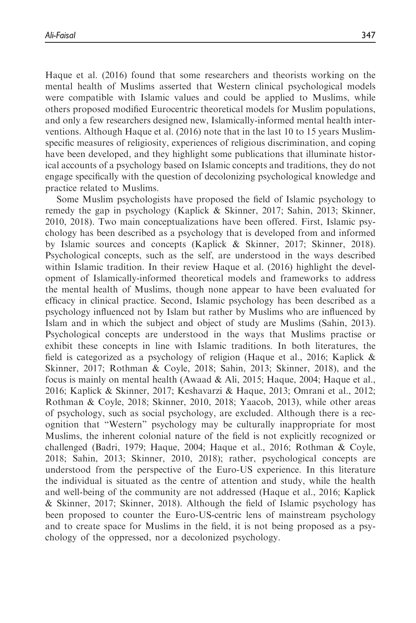Haque et al. (2016) found that some researchers and theorists working on the mental health of Muslims asserted that Western clinical psychological models were compatible with Islamic values and could be applied to Muslims, while others proposed modified Eurocentric theoretical models for Muslim populations, and only a few researchers designed new, Islamically-informed mental health interventions. Although Haque et al. (2016) note that in the last 10 to 15 years Muslimspecific measures of religiosity, experiences of religious discrimination, and coping have been developed, and they highlight some publications that illuminate historical accounts of a psychology based on Islamic concepts and traditions, they do not engage specifically with the question of decolonizing psychological knowledge and practice related to Muslims.

Some Muslim psychologists have proposed the field of Islamic psychology to remedy the gap in psychology (Kaplick & Skinner, 2017; Sahin, 2013; Skinner, 2010, 2018). Two main conceptualizations have been offered. First, Islamic psychology has been described as a psychology that is developed from and informed by Islamic sources and concepts (Kaplick & Skinner, 2017; Skinner, 2018). Psychological concepts, such as the self, are understood in the ways described within Islamic tradition. In their review Haque et al. (2016) highlight the development of Islamically-informed theoretical models and frameworks to address the mental health of Muslims, though none appear to have been evaluated for efficacy in clinical practice. Second, Islamic psychology has been described as a psychology influenced not by Islam but rather by Muslims who are influenced by Islam and in which the subject and object of study are Muslims (Sahin, 2013). Psychological concepts are understood in the ways that Muslims practise or exhibit these concepts in line with Islamic traditions. In both literatures, the field is categorized as a psychology of religion (Haque et al., 2016; Kaplick & Skinner, 2017; Rothman & Coyle, 2018; Sahin, 2013; Skinner, 2018), and the focus is mainly on mental health (Awaad & Ali, 2015; Haque, 2004; Haque et al., 2016; Kaplick & Skinner, 2017; Keshavarzi & Haque, 2013; Omrani et al., 2012; Rothman & Coyle, 2018; Skinner, 2010, 2018; Yaacob, 2013), while other areas of psychology, such as social psychology, are excluded. Although there is a recognition that "Western" psychology may be culturally inappropriate for most Muslims, the inherent colonial nature of the field is not explicitly recognized or challenged (Badri, 1979; Haque, 2004; Haque et al., 2016; Rothman & Coyle, 2018; Sahin, 2013; Skinner, 2010, 2018); rather, psychological concepts are understood from the perspective of the Euro-US experience. In this literature the individual is situated as the centre of attention and study, while the health and well-being of the community are not addressed (Haque et al., 2016; Kaplick & Skinner, 2017; Skinner, 2018). Although the field of Islamic psychology has been proposed to counter the Euro-US-centric lens of mainstream psychology and to create space for Muslims in the field, it is not being proposed as a psychology of the oppressed, nor a decolonized psychology.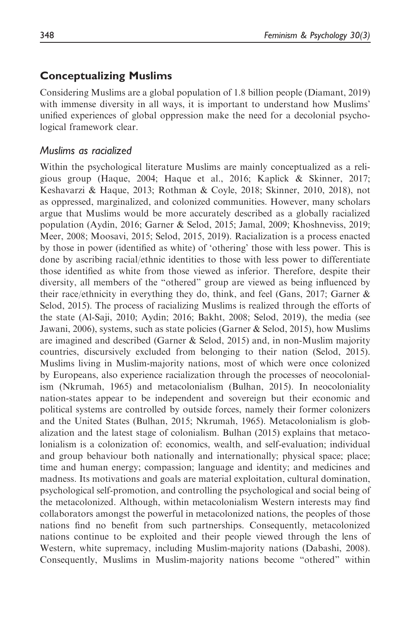# Conceptualizing Muslims

Considering Muslims are a global population of 1.8 billion people (Diamant, 2019) with immense diversity in all ways, it is important to understand how Muslims' unified experiences of global oppression make the need for a decolonial psychological framework clear.

## Muslims as racialized

Within the psychological literature Muslims are mainly conceptualized as a religious group (Haque, 2004; Haque et al., 2016; Kaplick & Skinner, 2017; Keshavarzi & Haque, 2013; Rothman & Coyle, 2018; Skinner, 2010, 2018), not as oppressed, marginalized, and colonized communities. However, many scholars argue that Muslims would be more accurately described as a globally racialized population (Aydin, 2016; Garner & Selod, 2015; Jamal, 2009; Khoshneviss, 2019; Meer, 2008; Moosavi, 2015; Selod, 2015, 2019). Racialization is a process enacted by those in power (identified as white) of 'othering' those with less power. This is done by ascribing racial/ethnic identities to those with less power to differentiate those identified as white from those viewed as inferior. Therefore, despite their diversity, all members of the "othered" group are viewed as being influenced by their race/ethnicity in everything they do, think, and feel (Gans, 2017; Garner & Selod, 2015). The process of racializing Muslims is realized through the efforts of the state (Al-Saji, 2010; Aydin; 2016; Bakht, 2008; Selod, 2019), the media (see Jawani, 2006), systems, such as state policies (Garner & Selod, 2015), how Muslims are imagined and described (Garner & Selod, 2015) and, in non-Muslim majority countries, discursively excluded from belonging to their nation (Selod, 2015). Muslims living in Muslim-majority nations, most of which were once colonized by Europeans, also experience racialization through the processes of neocolonialism (Nkrumah, 1965) and metacolonialism (Bulhan, 2015). In neocoloniality nation-states appear to be independent and sovereign but their economic and political systems are controlled by outside forces, namely their former colonizers and the United States (Bulhan, 2015; Nkrumah, 1965). Metacolonialism is globalization and the latest stage of colonialism. Bulhan (2015) explains that metacolonialism is a colonization of: economics, wealth, and self-evaluation; individual and group behaviour both nationally and internationally; physical space; place; time and human energy; compassion; language and identity; and medicines and madness. Its motivations and goals are material exploitation, cultural domination, psychological self-promotion, and controlling the psychological and social being of the metacolonized. Although, within metacolonialism Western interests may find collaborators amongst the powerful in metacolonized nations, the peoples of those nations find no benefit from such partnerships. Consequently, metacolonized nations continue to be exploited and their people viewed through the lens of Western, white supremacy, including Muslim-majority nations (Dabashi, 2008). Consequently, Muslims in Muslim-majority nations become "othered" within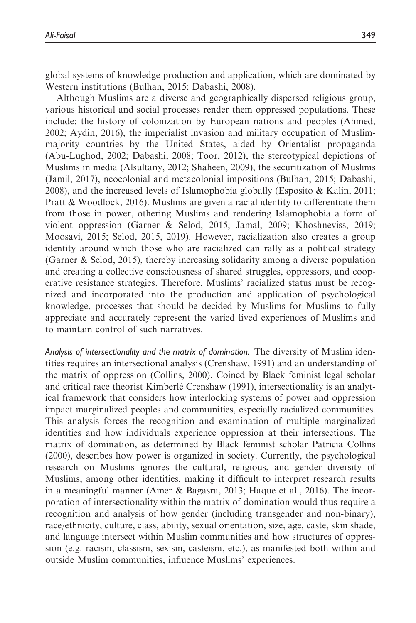global systems of knowledge production and application, which are dominated by Western institutions (Bulhan, 2015; Dabashi, 2008).

Although Muslims are a diverse and geographically dispersed religious group, various historical and social processes render them oppressed populations. These include: the history of colonization by European nations and peoples (Ahmed, 2002; Aydin, 2016), the imperialist invasion and military occupation of Muslimmajority countries by the United States, aided by Orientalist propaganda (Abu-Lughod, 2002; Dabashi, 2008; Toor, 2012), the stereotypical depictions of Muslims in media (Alsultany, 2012; Shaheen, 2009), the securitization of Muslims (Jamil, 2017), neocolonial and metacolonial impositions (Bulhan, 2015; Dabashi, 2008), and the increased levels of Islamophobia globally (Esposito & Kalin, 2011; Pratt & Woodlock, 2016). Muslims are given a racial identity to differentiate them from those in power, othering Muslims and rendering Islamophobia a form of violent oppression (Garner & Selod, 2015; Jamal, 2009; Khoshneviss, 2019; Moosavi, 2015; Selod, 2015, 2019). However, racialization also creates a group identity around which those who are racialized can rally as a political strategy (Garner & Selod, 2015), thereby increasing solidarity among a diverse population and creating a collective consciousness of shared struggles, oppressors, and cooperative resistance strategies. Therefore, Muslims' racialized status must be recognized and incorporated into the production and application of psychological knowledge, processes that should be decided by Muslims for Muslims to fully appreciate and accurately represent the varied lived experiences of Muslims and to maintain control of such narratives.

Analysis of intersectionality and the matrix of domination. The diversity of Muslim identities requires an intersectional analysis (Crenshaw, 1991) and an understanding of the matrix of oppression (Collins, 2000). Coined by Black feminist legal scholar and critical race theorist Kimberle Crenshaw (1991), intersectionality is an analytical framework that considers how interlocking systems of power and oppression impact marginalized peoples and communities, especially racialized communities. This analysis forces the recognition and examination of multiple marginalized identities and how individuals experience oppression at their intersections. The matrix of domination, as determined by Black feminist scholar Patricia Collins (2000), describes how power is organized in society. Currently, the psychological research on Muslims ignores the cultural, religious, and gender diversity of Muslims, among other identities, making it difficult to interpret research results in a meaningful manner (Amer & Bagasra, 2013; Haque et al., 2016). The incorporation of intersectionality within the matrix of domination would thus require a recognition and analysis of how gender (including transgender and non-binary), race/ethnicity, culture, class, ability, sexual orientation, size, age, caste, skin shade, and language intersect within Muslim communities and how structures of oppression (e.g. racism, classism, sexism, casteism, etc.), as manifested both within and outside Muslim communities, influence Muslims' experiences.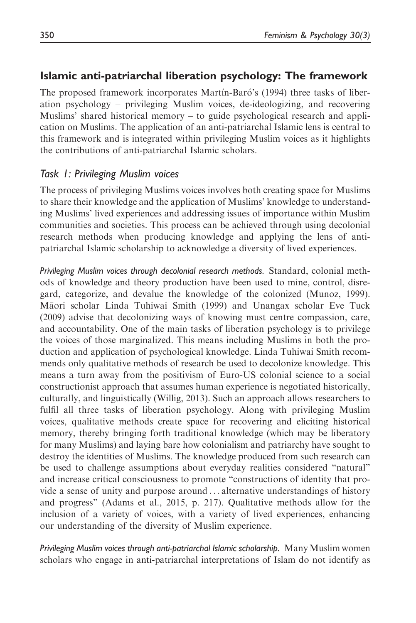# Islamic anti-patriarchal liberation psychology: The framework

The proposed framework incorporates Martín-Baró's (1994) three tasks of liberation psychology – privileging Muslim voices, de-ideologizing, and recovering Muslims' shared historical memory – to guide psychological research and application on Muslims. The application of an anti-patriarchal Islamic lens is central to this framework and is integrated within privileging Muslim voices as it highlights the contributions of anti-patriarchal Islamic scholars.

## Task 1: Privileging Muslim voices

The process of privileging Muslims voices involves both creating space for Muslims to share their knowledge and the application of Muslims' knowledge to understanding Muslims' lived experiences and addressing issues of importance within Muslim communities and societies. This process can be achieved through using decolonial research methods when producing knowledge and applying the lens of antipatriarchal Islamic scholarship to acknowledge a diversity of lived experiences.

Privileging Muslim voices through decolonial research methods. Standard, colonial methods of knowledge and theory production have been used to mine, control, disregard, categorize, and devalue the knowledge of the colonized (Munoz, 1999). Maori scholar Linda Tuhiwai Smith (1999) and Unangax scholar Eve Tuck (2009) advise that decolonizing ways of knowing must centre compassion, care, and accountability. One of the main tasks of liberation psychology is to privilege the voices of those marginalized. This means including Muslims in both the production and application of psychological knowledge. Linda Tuhiwai Smith recommends only qualitative methods of research be used to decolonize knowledge. This means a turn away from the positivism of Euro-US colonial science to a social constructionist approach that assumes human experience is negotiated historically, culturally, and linguistically (Willig, 2013). Such an approach allows researchers to fulfil all three tasks of liberation psychology. Along with privileging Muslim voices, qualitative methods create space for recovering and eliciting historical memory, thereby bringing forth traditional knowledge (which may be liberatory for many Muslims) and laying bare how colonialism and patriarchy have sought to destroy the identities of Muslims. The knowledge produced from such research can be used to challenge assumptions about everyday realities considered "natural" and increase critical consciousness to promote "constructions of identity that provide a sense of unity and purpose around ... alternative understandings of history and progress" (Adams et al., 2015, p. 217). Qualitative methods allow for the inclusion of a variety of voices, with a variety of lived experiences, enhancing our understanding of the diversity of Muslim experience.

Privileging Muslim voices through anti-patriarchal Islamic scholarship. Many Muslim women scholars who engage in anti-patriarchal interpretations of Islam do not identify as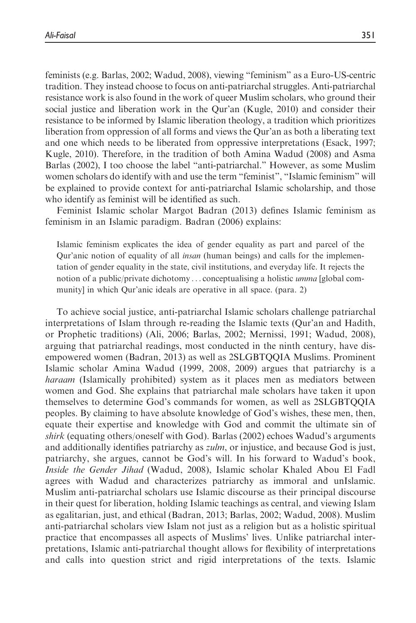feminists (e.g. Barlas, 2002; Wadud, 2008), viewing "feminism" as a Euro-US-centric tradition. They instead choose to focus on anti-patriarchal struggles. Anti-patriarchal resistance work is also found in the work of queer Muslim scholars, who ground their social justice and liberation work in the Qur'an (Kugle, 2010) and consider their resistance to be informed by Islamic liberation theology, a tradition which prioritizes liberation from oppression of all forms and views the Qur'an as both a liberating text and one which needs to be liberated from oppressive interpretations (Esack, 1997; Kugle, 2010). Therefore, in the tradition of both Amina Wadud (2008) and Asma Barlas (2002), I too choose the label "anti-patriarchal." However, as some Muslim women scholars do identify with and use the term "feminist", "Islamic feminism" will be explained to provide context for anti-patriarchal Islamic scholarship, and those who identify as feminist will be identified as such.

Feminist Islamic scholar Margot Badran (2013) defines Islamic feminism as feminism in an Islamic paradigm. Badran (2006) explains:

Islamic feminism explicates the idea of gender equality as part and parcel of the Qur'anic notion of equality of all insan (human beings) and calls for the implementation of gender equality in the state, civil institutions, and everyday life. It rejects the notion of a public/private dichotomy ... conceptualising a holistic *umma* [global community] in which Qur'anic ideals are operative in all space. (para. 2)

To achieve social justice, anti-patriarchal Islamic scholars challenge patriarchal interpretations of Islam through re-reading the Islamic texts (Qur'an and Hadith, or Prophetic traditions) (Ali, 2006; Barlas, 2002; Mernissi, 1991; Wadud, 2008), arguing that patriarchal readings, most conducted in the ninth century, have disempowered women (Badran, 2013) as well as 2SLGBTQQIA Muslims. Prominent Islamic scholar Amina Wadud (1999, 2008, 2009) argues that patriarchy is a haraam (Islamically prohibited) system as it places men as mediators between women and God. She explains that patriarchal male scholars have taken it upon themselves to determine God's commands for women, as well as 2SLGBTQQIA peoples. By claiming to have absolute knowledge of God's wishes, these men, then, equate their expertise and knowledge with God and commit the ultimate sin of shirk (equating others/oneself with God). Barlas (2002) echoes Wadud's arguments and additionally identifies patriarchy as *zulm*, or injustice, and because God is just, patriarchy, she argues, cannot be God's will. In his forward to Wadud's book, Inside the Gender Jihad (Wadud, 2008), Islamic scholar Khaled Abou El Fadl agrees with Wadud and characterizes patriarchy as immoral and unIslamic. Muslim anti-patriarchal scholars use Islamic discourse as their principal discourse in their quest for liberation, holding Islamic teachings as central, and viewing Islam as egalitarian, just, and ethical (Badran, 2013; Barlas, 2002; Wadud, 2008). Muslim anti-patriarchal scholars view Islam not just as a religion but as a holistic spiritual practice that encompasses all aspects of Muslims' lives. Unlike patriarchal interpretations, Islamic anti-patriarchal thought allows for flexibility of interpretations and calls into question strict and rigid interpretations of the texts. Islamic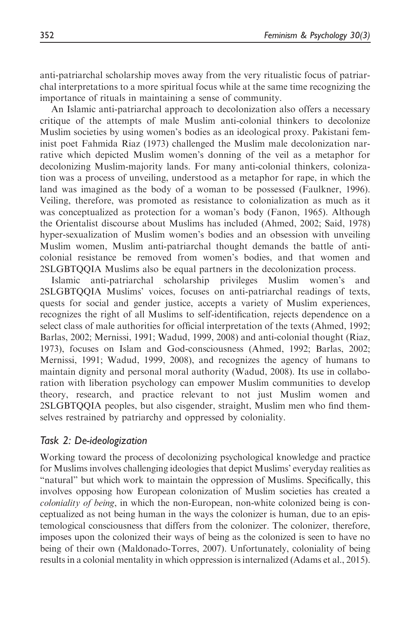anti-patriarchal scholarship moves away from the very ritualistic focus of patriarchal interpretations to a more spiritual focus while at the same time recognizing the importance of rituals in maintaining a sense of community.

An Islamic anti-patriarchal approach to decolonization also offers a necessary critique of the attempts of male Muslim anti-colonial thinkers to decolonize Muslim societies by using women's bodies as an ideological proxy. Pakistani feminist poet Fahmida Riaz (1973) challenged the Muslim male decolonization narrative which depicted Muslim women's donning of the veil as a metaphor for decolonizing Muslim-majority lands. For many anti-colonial thinkers, colonization was a process of unveiling, understood as a metaphor for rape, in which the land was imagined as the body of a woman to be possessed (Faulkner, 1996). Veiling, therefore, was promoted as resistance to colonialization as much as it was conceptualized as protection for a woman's body (Fanon, 1965). Although the Orientalist discourse about Muslims has included (Ahmed, 2002; Said, 1978) hyper-sexualization of Muslim women's bodies and an obsession with unveiling Muslim women, Muslim anti-patriarchal thought demands the battle of anticolonial resistance be removed from women's bodies, and that women and 2SLGBTQQIA Muslims also be equal partners in the decolonization process.

Islamic anti-patriarchal scholarship privileges Muslim women's and 2SLGBTQQIA Muslims' voices, focuses on anti-patriarchal readings of texts, quests for social and gender justice, accepts a variety of Muslim experiences, recognizes the right of all Muslims to self-identification, rejects dependence on a select class of male authorities for official interpretation of the texts (Ahmed, 1992; Barlas, 2002; Mernissi, 1991; Wadud, 1999, 2008) and anti-colonial thought (Riaz, 1973), focuses on Islam and God-consciousness (Ahmed, 1992; Barlas, 2002; Mernissi, 1991; Wadud, 1999, 2008), and recognizes the agency of humans to maintain dignity and personal moral authority (Wadud, 2008). Its use in collaboration with liberation psychology can empower Muslim communities to develop theory, research, and practice relevant to not just Muslim women and 2SLGBTQQIA peoples, but also cisgender, straight, Muslim men who find themselves restrained by patriarchy and oppressed by coloniality.

## Task 2: De-ideologization

Working toward the process of decolonizing psychological knowledge and practice for Muslims involves challenging ideologies that depict Muslims' everyday realities as "natural" but which work to maintain the oppression of Muslims. Specifically, this involves opposing how European colonization of Muslim societies has created a coloniality of being, in which the non-European, non-white colonized being is conceptualized as not being human in the ways the colonizer is human, due to an epistemological consciousness that differs from the colonizer. The colonizer, therefore, imposes upon the colonized their ways of being as the colonized is seen to have no being of their own (Maldonado-Torres, 2007). Unfortunately, coloniality of being results in a colonial mentality in which oppression is internalized (Adams et al., 2015).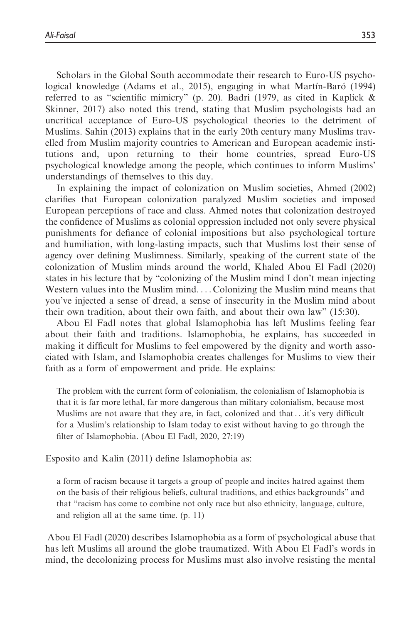Scholars in the Global South accommodate their research to Euro-US psychological knowledge (Adams et al., 2015), engaging in what Martín-Baró (1994) referred to as "scientific mimicry" (p. 20). Badri (1979, as cited in Kaplick & Skinner, 2017) also noted this trend, stating that Muslim psychologists had an uncritical acceptance of Euro-US psychological theories to the detriment of Muslims. Sahin (2013) explains that in the early 20th century many Muslims travelled from Muslim majority countries to American and European academic institutions and, upon returning to their home countries, spread Euro-US psychological knowledge among the people, which continues to inform Muslims' understandings of themselves to this day.

In explaining the impact of colonization on Muslim societies, Ahmed (2002) clarifies that European colonization paralyzed Muslim societies and imposed European perceptions of race and class. Ahmed notes that colonization destroyed the confidence of Muslims as colonial oppression included not only severe physical punishments for defiance of colonial impositions but also psychological torture and humiliation, with long-lasting impacts, such that Muslims lost their sense of agency over defining Muslimness. Similarly, speaking of the current state of the colonization of Muslim minds around the world, Khaled Abou El Fadl (2020) states in his lecture that by "colonizing of the Muslim mind I don't mean injecting Western values into the Muslim mind. ... Colonizing the Muslim mind means that you've injected a sense of dread, a sense of insecurity in the Muslim mind about their own tradition, about their own faith, and about their own law" (15:30).

Abou El Fadl notes that global Islamophobia has left Muslims feeling fear about their faith and traditions. Islamophobia, he explains, has succeeded in making it difficult for Muslims to feel empowered by the dignity and worth associated with Islam, and Islamophobia creates challenges for Muslims to view their faith as a form of empowerment and pride. He explains:

The problem with the current form of colonialism, the colonialism of Islamophobia is that it is far more lethal, far more dangerous than military colonialism, because most Muslims are not aware that they are, in fact, colonized and that...it's very difficult for a Muslim's relationship to Islam today to exist without having to go through the filter of Islamophobia. (Abou El Fadl, 2020, 27:19)

Esposito and Kalin (2011) define Islamophobia as:

a form of racism because it targets a group of people and incites hatred against them on the basis of their religious beliefs, cultural traditions, and ethics backgrounds" and that "racism has come to combine not only race but also ethnicity, language, culture, and religion all at the same time. (p. 11)

Abou El Fadl (2020) describes Islamophobia as a form of psychological abuse that has left Muslims all around the globe traumatized. With Abou El Fadl's words in mind, the decolonizing process for Muslims must also involve resisting the mental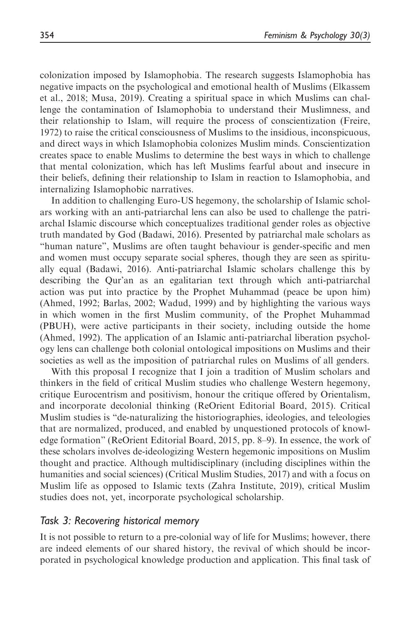colonization imposed by Islamophobia. The research suggests Islamophobia has negative impacts on the psychological and emotional health of Muslims (Elkassem et al., 2018; Musa, 2019). Creating a spiritual space in which Muslims can challenge the contamination of Islamophobia to understand their Muslimness, and their relationship to Islam, will require the process of conscientization (Freire, 1972) to raise the critical consciousness of Muslims to the insidious, inconspicuous, and direct ways in which Islamophobia colonizes Muslim minds. Conscientization creates space to enable Muslims to determine the best ways in which to challenge that mental colonization, which has left Muslims fearful about and insecure in their beliefs, defining their relationship to Islam in reaction to Islamophobia, and internalizing Islamophobic narratives.

In addition to challenging Euro-US hegemony, the scholarship of Islamic scholars working with an anti-patriarchal lens can also be used to challenge the patriarchal Islamic discourse which conceptualizes traditional gender roles as objective truth mandated by God (Badawi, 2016). Presented by patriarchal male scholars as "human nature", Muslims are often taught behaviour is gender-specific and men and women must occupy separate social spheres, though they are seen as spiritually equal (Badawi, 2016). Anti-patriarchal Islamic scholars challenge this by describing the Qur'an as an egalitarian text through which anti-patriarchal action was put into practice by the Prophet Muhammad (peace be upon him) (Ahmed, 1992; Barlas, 2002; Wadud, 1999) and by highlighting the various ways in which women in the first Muslim community, of the Prophet Muhammad (PBUH), were active participants in their society, including outside the home (Ahmed, 1992). The application of an Islamic anti-patriarchal liberation psychology lens can challenge both colonial ontological impositions on Muslims and their societies as well as the imposition of patriarchal rules on Muslims of all genders.

With this proposal I recognize that I join a tradition of Muslim scholars and thinkers in the field of critical Muslim studies who challenge Western hegemony, critique Eurocentrism and positivism, honour the critique offered by Orientalism, and incorporate decolonial thinking (ReOrient Editorial Board, 2015). Critical Muslim studies is "de-naturalizing the historiographies, ideologies, and teleologies that are normalized, produced, and enabled by unquestioned protocols of knowledge formation" (ReOrient Editorial Board, 2015, pp. 8–9). In essence, the work of these scholars involves de-ideologizing Western hegemonic impositions on Muslim thought and practice. Although multidisciplinary (including disciplines within the humanities and social sciences) (Critical Muslim Studies, 2017) and with a focus on Muslim life as opposed to Islamic texts (Zahra Institute, 2019), critical Muslim studies does not, yet, incorporate psychological scholarship.

## Task 3: Recovering historical memory

It is not possible to return to a pre-colonial way of life for Muslims; however, there are indeed elements of our shared history, the revival of which should be incorporated in psychological knowledge production and application. This final task of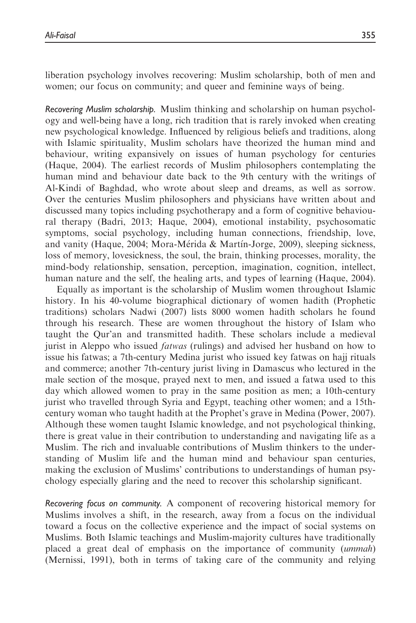liberation psychology involves recovering: Muslim scholarship, both of men and women; our focus on community; and queer and feminine ways of being.

Recovering Muslim scholarship. Muslim thinking and scholarship on human psychology and well-being have a long, rich tradition that is rarely invoked when creating new psychological knowledge. Influenced by religious beliefs and traditions, along with Islamic spirituality, Muslim scholars have theorized the human mind and behaviour, writing expansively on issues of human psychology for centuries (Haque, 2004). The earliest records of Muslim philosophers contemplating the human mind and behaviour date back to the 9th century with the writings of Al-Kindi of Baghdad, who wrote about sleep and dreams, as well as sorrow. Over the centuries Muslim philosophers and physicians have written about and discussed many topics including psychotherapy and a form of cognitive behavioural therapy (Badri, 2013; Haque, 2004), emotional instability, psychosomatic symptoms, social psychology, including human connections, friendship, love, and vanity (Haque, 2004; Mora-Mérida & Martín-Jorge, 2009), sleeping sickness, loss of memory, lovesickness, the soul, the brain, thinking processes, morality, the mind-body relationship, sensation, perception, imagination, cognition, intellect, human nature and the self, the healing arts, and types of learning (Haque, 2004).

Equally as important is the scholarship of Muslim women throughout Islamic history. In his 40-volume biographical dictionary of women hadith (Prophetic traditions) scholars Nadwi (2007) lists 8000 women hadith scholars he found through his research. These are women throughout the history of Islam who taught the Qur'an and transmitted hadith. These scholars include a medieval jurist in Aleppo who issued fatwas (rulings) and advised her husband on how to issue his fatwas; a 7th-century Medina jurist who issued key fatwas on hajj rituals and commerce; another 7th-century jurist living in Damascus who lectured in the male section of the mosque, prayed next to men, and issued a fatwa used to this day which allowed women to pray in the same position as men; a 10th-century jurist who travelled through Syria and Egypt, teaching other women; and a 15thcentury woman who taught hadith at the Prophet's grave in Medina (Power, 2007). Although these women taught Islamic knowledge, and not psychological thinking, there is great value in their contribution to understanding and navigating life as a Muslim. The rich and invaluable contributions of Muslim thinkers to the understanding of Muslim life and the human mind and behaviour span centuries, making the exclusion of Muslims' contributions to understandings of human psychology especially glaring and the need to recover this scholarship significant.

Recovering focus on community. A component of recovering historical memory for Muslims involves a shift, in the research, away from a focus on the individual toward a focus on the collective experience and the impact of social systems on Muslims. Both Islamic teachings and Muslim-majority cultures have traditionally placed a great deal of emphasis on the importance of community (ummah) (Mernissi, 1991), both in terms of taking care of the community and relying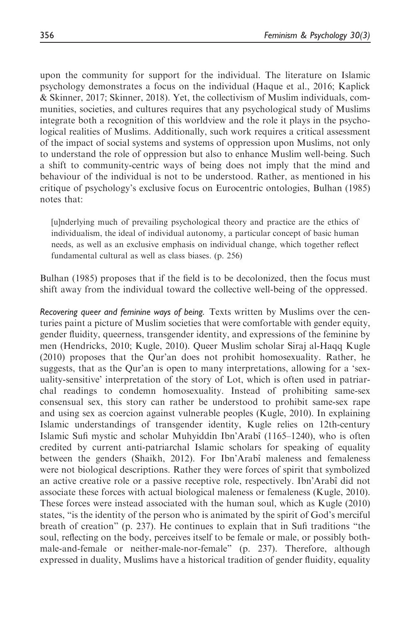upon the community for support for the individual. The literature on Islamic psychology demonstrates a focus on the individual (Haque et al., 2016; Kaplick & Skinner, 2017; Skinner, 2018). Yet, the collectivism of Muslim individuals, communities, societies, and cultures requires that any psychological study of Muslims integrate both a recognition of this worldview and the role it plays in the psychological realities of Muslims. Additionally, such work requires a critical assessment of the impact of social systems and systems of oppression upon Muslims, not only to understand the role of oppression but also to enhance Muslim well-being. Such a shift to community-centric ways of being does not imply that the mind and behaviour of the individual is not to be understood. Rather, as mentioned in his critique of psychology's exclusive focus on Eurocentric ontologies, Bulhan (1985) notes that:

[u]nderlying much of prevailing psychological theory and practice are the ethics of individualism, the ideal of individual autonomy, a particular concept of basic human needs, as well as an exclusive emphasis on individual change, which together reflect fundamental cultural as well as class biases. (p. 256)

Bulhan (1985) proposes that if the field is to be decolonized, then the focus must shift away from the individual toward the collective well-being of the oppressed.

Recovering queer and feminine ways of being. Texts written by Muslims over the centuries paint a picture of Muslim societies that were comfortable with gender equity, gender fluidity, queerness, transgender identity, and expressions of the feminine by men (Hendricks, 2010; Kugle, 2010). Queer Muslim scholar Siraj al-Haqq Kugle (2010) proposes that the Qur'an does not prohibit homosexuality. Rather, he suggests, that as the Qur'an is open to many interpretations, allowing for a 'sexuality-sensitive' interpretation of the story of Lot, which is often used in patriarchal readings to condemn homosexuality. Instead of prohibiting same-sex consensual sex, this story can rather be understood to prohibit same-sex rape and using sex as coercion against vulnerable peoples (Kugle, 2010). In explaining Islamic understandings of transgender identity, Kugle relies on 12th-century Islamic Sufi mystic and scholar Muhyiddin Ibn'Arabî (1165–1240), who is often credited by current anti-patriarchal Islamic scholars for speaking of equality between the genders (Shaikh, 2012). For Ibn'Arabî maleness and femaleness were not biological descriptions. Rather they were forces of spirit that symbolized an active creative role or a passive receptive role, respectively. Ibn'Arabî did not associate these forces with actual biological maleness or femaleness (Kugle, 2010). These forces were instead associated with the human soul, which as Kugle (2010) states, "is the identity of the person who is animated by the spirit of God's merciful breath of creation" (p. 237). He continues to explain that in Sufi traditions "the soul, reflecting on the body, perceives itself to be female or male, or possibly bothmale-and-female or neither-male-nor-female" (p. 237). Therefore, although expressed in duality, Muslims have a historical tradition of gender fluidity, equality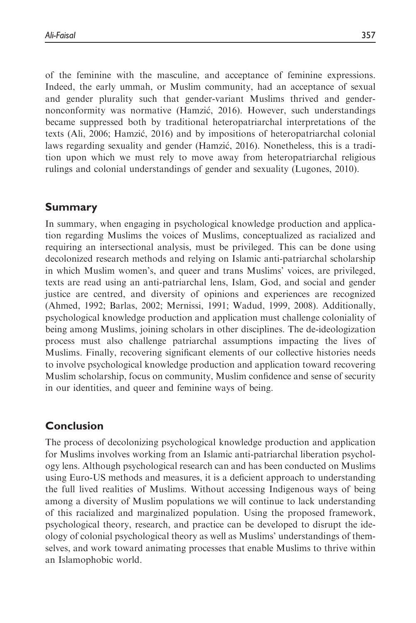of the feminine with the masculine, and acceptance of feminine expressions. Indeed, the early ummah, or Muslim community, had an acceptance of sexual and gender plurality such that gender-variant Muslims thrived and gendernonconformity was normative (Hamzic, 2016). However, such understandings became suppressed both by traditional heteropatriarchal interpretations of the texts (Ali, 2006; Hamzic, 2016) and by impositions of heteropatriarchal colonial laws regarding sexuality and gender (Hamzic, 2016). Nonetheless, this is a tradition upon which we must rely to move away from heteropatriarchal religious rulings and colonial understandings of gender and sexuality (Lugones, 2010).

# Summary

In summary, when engaging in psychological knowledge production and application regarding Muslims the voices of Muslims, conceptualized as racialized and requiring an intersectional analysis, must be privileged. This can be done using decolonized research methods and relying on Islamic anti-patriarchal scholarship in which Muslim women's, and queer and trans Muslims' voices, are privileged, texts are read using an anti-patriarchal lens, Islam, God, and social and gender justice are centred, and diversity of opinions and experiences are recognized (Ahmed, 1992; Barlas, 2002; Mernissi, 1991; Wadud, 1999, 2008). Additionally, psychological knowledge production and application must challenge coloniality of being among Muslims, joining scholars in other disciplines. The de-ideologization process must also challenge patriarchal assumptions impacting the lives of Muslims. Finally, recovering significant elements of our collective histories needs to involve psychological knowledge production and application toward recovering Muslim scholarship, focus on community, Muslim confidence and sense of security in our identities, and queer and feminine ways of being.

# Conclusion

The process of decolonizing psychological knowledge production and application for Muslims involves working from an Islamic anti-patriarchal liberation psychology lens. Although psychological research can and has been conducted on Muslims using Euro-US methods and measures, it is a deficient approach to understanding the full lived realities of Muslims. Without accessing Indigenous ways of being among a diversity of Muslim populations we will continue to lack understanding of this racialized and marginalized population. Using the proposed framework, psychological theory, research, and practice can be developed to disrupt the ideology of colonial psychological theory as well as Muslims' understandings of themselves, and work toward animating processes that enable Muslims to thrive within an Islamophobic world.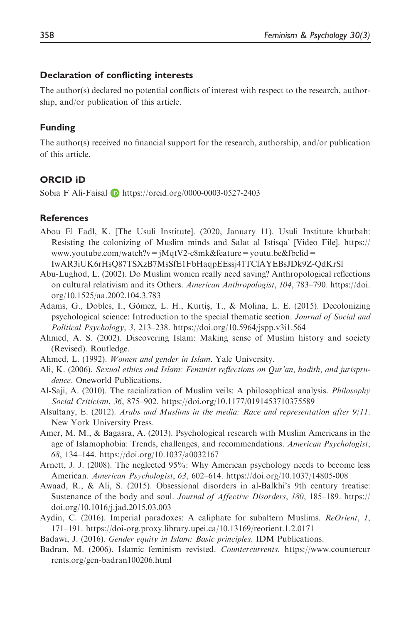## Declaration of conflicting interests

The author(s) declared no potential conflicts of interest with respect to the research, authorship, and/or publication of this article.

#### Funding

The author(s) received no financial support for the research, authorship, and/or publication of this article.

## ORCID iD

Sobia F Ali-Faisal  $\blacksquare$  <https://orcid.org/0000-0003-0527-2403>

#### **References**

Abou El Fadl, K. [The Usuli Institute]. (2020, January 11). Usuli Institute khutbah: Resisting the colonizing of Muslim minds and Salat al Istisqa' [Video File]. [https://](https://www.youtube.com/watch?v=jMqtV2-c8mk&feature=youtu.be&fbclid=IwAR3iUK6rHsQ87TSXzB7MsSfE1FbHaqpEEssj41TClAYEBsJDk9Z-QdKrSl) [www.youtube.com/watch?v=jMqtV2-c8mk&feature=youtu.be&fbclid=](https://www.youtube.com/watch?v=jMqtV2-c8mk&feature=youtu.be&fbclid=IwAR3iUK6rHsQ87TSXzB7MsSfE1FbHaqpEEssj41TClAYEBsJDk9Z-QdKrSl)

[IwAR3iUK6rHsQ87TSXzB7MsSfE1FbHaqpEEssj41TClAYEBsJDk9Z-QdKrSl](https://www.youtube.com/watch?v=jMqtV2-c8mk&feature=youtu.be&fbclid=IwAR3iUK6rHsQ87TSXzB7MsSfE1FbHaqpEEssj41TClAYEBsJDk9Z-QdKrSl)

- Abu-Lughod, L. (2002). Do Muslim women really need saving? Anthropological reflections on cultural relativism and its Others. American Anthropologist, 104, 783–790. [https://doi.](https://doi.org/10.1525/aa.2002.104.3.783) [org/10.1525/aa.2002.104.3.783](https://doi.org/10.1525/aa.2002.104.3.783)
- Adams, G., Dobles, I., Gómez, L. H., Kurtiş, T., & Molina, L. E. (2015). Decolonizing psychological science: Introduction to the special thematic section. Journal of Social and Political Psychology, 3, 213–238.<https://doi.org/10.5964/jspp.v3i1.564>
- Ahmed, A. S. (2002). Discovering Islam: Making sense of Muslim history and society (Revised). Routledge.

Ahmed, L. (1992). Women and gender in Islam. Yale University.

- Ali, K. (2006). Sexual ethics and Islam: Feminist reflections on Qur'an, hadith, and jurisprudence. Oneworld Publications.
- Al-Saji, A. (2010). The racialization of Muslim veils: A philosophical analysis. Philosophy Social Criticism, 36, 875–902.<https://doi.org/10.1177/0191453710375589>
- Alsultany, E. (2012). Arabs and Muslims in the media: Race and representation after  $9/11$ . New York University Press.
- Amer, M. M., & Bagasra, A. (2013). Psychological research with Muslim Americans in the age of Islamophobia: Trends, challenges, and recommendations. American Psychologist, 68, 134–144.<https://doi.org/10.1037/a0032167>
- Arnett, J. J. (2008). The neglected 95%: Why American psychology needs to become less American. American Psychologist, 63, 602–614.<https://doi.org/10.1037/14805-008>
- Awaad, R., & Ali, S. (2015). Obsessional disorders in al-Balkhi's 9th century treatise: Sustenance of the body and soul. Journal of Affective Disorders, 180, 185–189. [https://](https://doi.org/10.1016/j.jad.2015.03.003) [doi.org/10.1016/j.jad.2015.03.003](https://doi.org/10.1016/j.jad.2015.03.003)
- Aydin, C. (2016). Imperial paradoxes: A caliphate for subaltern Muslims. *ReOrient*, 1, 171–191.<https://doi-org.proxy.library.upei.ca/10.13169/reorient.1.2.0171>
- Badawi, J. (2016). Gender equity in Islam: Basic principles. IDM Publications.
- Badran, M. (2006). Islamic feminism revisted. Countercurrents. [https://www.countercur](https://www.countercurrents.org/gen-badran100206.html) [rents.org/gen-badran100206.html](https://www.countercurrents.org/gen-badran100206.html)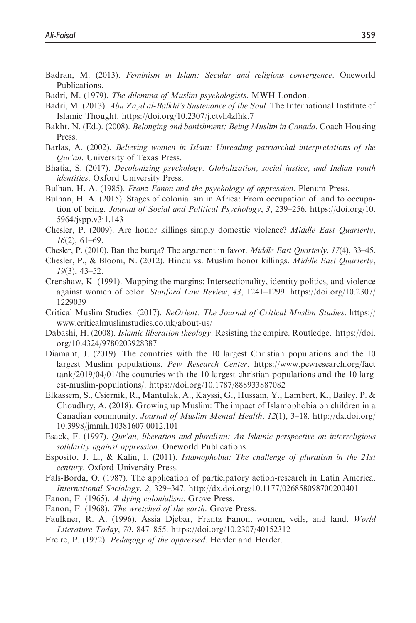- Badran, M. (2013). Feminism in Islam: Secular and religious convergence. Oneworld Publications.
- Badri, M. (1979). The dilemma of Muslim psychologists. MWH London.
- Badri, M. (2013). Abu Zayd al-Balkhi's Sustenance of the Soul. The International Institute of Islamic Thought.<https://doi.org/10.2307/j.ctvh4zfhk.7>
- Bakht, N. (Ed.). (2008). *Belonging and banishment: Being Muslim in Canada*. Coach Housing Press.
- Barlas, A. (2002). Believing women in Islam: Unreading patriarchal interpretations of the Qur'an. University of Texas Press.
- Bhatia, S. (2017). *Decolonizing psychology: Globalization, social justice, and Indian youth* identities. Oxford University Press.
- Bulhan, H. A. (1985). *Franz Fanon and the psychology of oppression*. Plenum Press.
- Bulhan, H. A. (2015). Stages of colonialism in Africa: From occupation of land to occupation of being. Journal of Social and Political Psychology, 3, 239–256. [https://doi.org/10.](https://doi.org/10.5964/jspp.v3i1.143) [5964/jspp.v3i1.143](https://doi.org/10.5964/jspp.v3i1.143)
- Chesler, P. (2009). Are honor killings simply domestic violence? Middle East Quarterly, 16(2), 61–69.
- Chesler, P. (2010). Ban the burqa? The argument in favor. Middle East Quarterly, 17(4), 33–45.
- Chesler, P., & Bloom, N. (2012). Hindu vs. Muslim honor killings. Middle East Quarterly, 19(3), 43–52.
- Crenshaw, K. (1991). Mapping the margins: Intersectionality, identity politics, and violence against women of color. Stanford Law Review, 43, 1241–1299. [https://doi.org/10.2307/](https://doi.org/10.2307/1229039) [1229039](https://doi.org/10.2307/1229039)
- Critical Muslim Studies. (2017). ReOrient: The Journal of Critical Muslim Studies. [https://](https://www.criticalmuslimstudies.co.uk/about-us/) [www.criticalmuslimstudies.co.uk/about-us/](https://www.criticalmuslimstudies.co.uk/about-us/)
- Dabashi, H. (2008). *Islamic liberation theology*. Resisting the empire. Routledge. [https://doi.]( https://doi.org/10.4324/9780203928387) [org/10.4324/9780203928387]( https://doi.org/10.4324/9780203928387)
- Diamant, J. (2019). The countries with the 10 largest Christian populations and the 10 largest Muslim populations. Pew Research Center. [https://www.pewresearch.org/fact](https://www.pewresearch.org/facttank/2019/04/01/the-countries-with-the-10-largest-christian-populations-and-the-10-largest-muslim-populations/) [tank/2019/04/01/the-countries-with-the-10-largest-christian-populations-and-the-10-larg](https://www.pewresearch.org/facttank/2019/04/01/the-countries-with-the-10-largest-christian-populations-and-the-10-largest-muslim-populations/) [est-muslim-populations/](https://www.pewresearch.org/facttank/2019/04/01/the-countries-with-the-10-largest-christian-populations-and-the-10-largest-muslim-populations/).<https://doi.org/10.1787/888933887082>
- Elkassem, S., Csiernik, R., Mantulak, A., Kayssi, G., Hussain, Y., Lambert, K., Bailey, P. & Choudhry, A. (2018). Growing up Muslim: The impact of Islamophobia on children in a Canadian community. Journal of Muslim Mental Health, 12(1), 3–18. [http://dx.doi.org/](http://dx.doi.org/10.3998/jmmh.10381607.0012.101) [10.3998/jmmh.10381607.0012.101](http://dx.doi.org/10.3998/jmmh.10381607.0012.101)
- Esack, F. (1997). Qur'an, liberation and pluralism: An Islamic perspective on interreligious solidarity against oppression. Oneworld Publications.
- Esposito, J. L., & Kalin, I. (2011). Islamophobia: The challenge of pluralism in the 21st century. Oxford University Press.
- Fals-Borda, O. (1987). The application of participatory action-research in Latin America. International Sociology, 2, 329–347.<http://dx.doi.org/10.1177/026858098700200401>
- Fanon, F. (1965). A dying colonialism. Grove Press.
- Fanon, F. (1968). The wretched of the earth. Grove Press.
- Faulkner, R. A. (1996). Assia Djebar, Frantz Fanon, women, veils, and land. World Literature Today, 70, 847–855.<https://doi.org/10.2307/40152312>
- Freire, P. (1972). *Pedagogy of the oppressed*. Herder and Herder.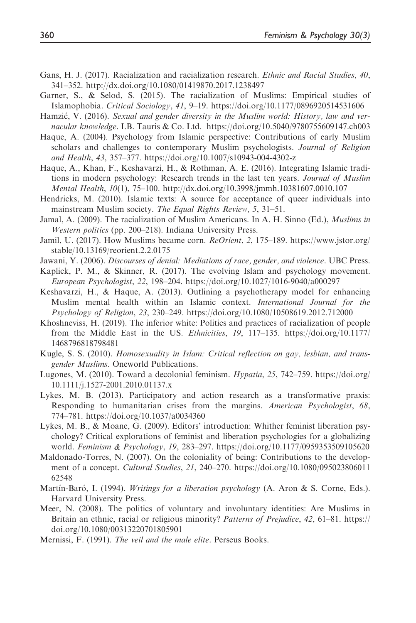- Gans, H. J. (2017). Racialization and racialization research. Ethnic and Racial Studies, 40, 341–352.<http://dx.doi.org/10.1080/01419870.2017.1238497>
- Garner, S., & Selod, S. (2015). The racialization of Muslims: Empirical studies of Islamophobia. Critical Sociology, 41, 9–19.<https://doi.org/10.1177/0896920514531606>
- Hamzić, V. (2016). Sexual and gender diversity in the Muslim world: History, law and vernacular knowledge. I.B. Tauris & Co. Ltd. [https://doi.org/10.5040/9780755609147.ch003]( https://doi.org/10.5040/9780755609147.ch003)
- Haque, A. (2004). Psychology from Islamic perspective: Contributions of early Muslim scholars and challenges to contemporary Muslim psychologists. Journal of Religion and Health, 43, 357–377.<https://doi.org/10.1007/s10943-004-4302-z>
- Haque, A., Khan, F., Keshavarzi, H., & Rothman, A. E. (2016). Integrating Islamic traditions in modern psychology: Research trends in the last ten years. Journal of Muslim Mental Health, 10(1), 75–100.<http://dx.doi.org/10.3998/jmmh.10381607.0010.107>
- Hendricks, M. (2010). Islamic texts: A source for acceptance of queer individuals into mainstream Muslim society. The Equal Rights Review, 5, 31–51.
- Jamal, A. (2009). The racialization of Muslim Americans. In A. H. Sinno (Ed.), Muslims in Western politics (pp. 200-218). Indiana University Press.
- Jamil, U. (2017). How Muslims became corn. ReOrient, 2, 175–189. [https://www.jstor.org/](https://www.jstor.org/stable/10.13169/reorient.2.2.0175) [stable/10.13169/reorient.2.2.0175](https://www.jstor.org/stable/10.13169/reorient.2.2.0175)
- Jawani, Y. (2006). Discourses of denial: Mediations of race, gender, and violence. UBC Press.
- Kaplick, P. M., & Skinner, R. (2017). The evolving Islam and psychology movement. European Psychologist, 22, 198–204.<https://doi.org/10.1027/1016-9040/a000297>
- Keshavarzi, H., & Haque, A. (2013). Outlining a psychotherapy model for enhancing Muslim mental health within an Islamic context. International Journal for the Psychology of Religion, 23, 230–249.<https://doi.org/10.1080/10508619.2012.712000>
- Khoshneviss, H. (2019). The inferior white: Politics and practices of racialization of people from the Middle East in the US. Ethnicities, 19, 117–135. [https://doi.org/10.1177/](https://doi.org/10.1177/1468796818798481) [1468796818798481](https://doi.org/10.1177/1468796818798481)
- Kugle, S. S. (2010). Homosexuality in Islam: Critical reflection on gay, lesbian, and transgender Muslims. Oneworld Publications.
- Lugones, M. (2010). Toward a decolonial feminism. Hypatia, 25, 742–759. [https://doi.org/](https://doi.org/10.1111/j.1527-2001.2010.01137.x) [10.1111/j.1527-2001.2010.01137.x](https://doi.org/10.1111/j.1527-2001.2010.01137.x)
- Lykes, M. B. (2013). Participatory and action research as a transformative praxis: Responding to humanitarian crises from the margins. American Psychologist, 68, 774–781.<https://doi.org/10.1037/a0034360>
- Lykes, M. B., & Moane, G. (2009). Editors' introduction: Whither feminist liberation psychology? Critical explorations of feminist and liberation psychologies for a globalizing world. Feminism & Psychology, 19, 283–297.<https://doi.org/10.1177/0959353509105620>
- Maldonado-Torres, N. (2007). On the coloniality of being: Contributions to the development of a concept. *Cultural Studies*, 21, 240–270. [https://doi.org/10.1080/095023806011](https://doi.org/10.1080/09502380601162548) [62548](https://doi.org/10.1080/09502380601162548)
- Martín-Baró, I. (1994). Writings for a liberation psychology (A. Aron & S. Corne, Eds.). Harvard University Press.
- Meer, N. (2008). The politics of voluntary and involuntary identities: Are Muslims in Britain an ethnic, racial or religious minority? Patterns of Prejudice, 42, 61–81. [https://](https://doi.org/10.1080/00313220701805901) [doi.org/10.1080/00313220701805901](https://doi.org/10.1080/00313220701805901)
- Mernissi, F. (1991). The veil and the male elite. Perseus Books.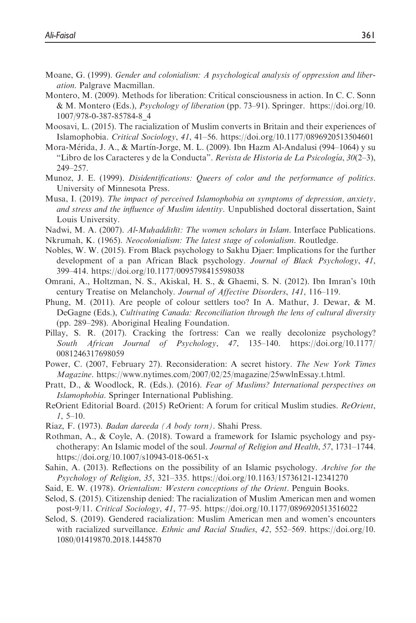- Moane, G. (1999). Gender and colonialism: A psychological analysis of oppression and liberation. Palgrave Macmillan.
- Montero, M. (2009). Methods for liberation: Critical consciousness in action. In C. C. Sonn & M. Montero (Eds.), Psychology of liberation (pp. 73–91). Springer. [https://doi.org/10.]( https://doi.org/10.1007/978-0-387-85784-8_4) [1007/978-0-387-85784-8\\_4]( https://doi.org/10.1007/978-0-387-85784-8_4)
- Moosavi, L. (2015). The racialization of Muslim converts in Britain and their experiences of Islamophobia. Critical Sociology, 41, 41–56.<https://doi.org/10.1177/0896920513504601>
- Mora-Mérida, J. A., & Martín-Jorge, M. L. (2009). Ibn Hazm Al-Andalusi (994–1064) y su "Libro de los Caracteres y de la Conducta". Revista de Historia de La Psicología, 30(2-3), 249–257.
- Munoz, J. E. (1999). Disidentifications: Queers of color and the performance of politics. University of Minnesota Press.
- Musa, I. (2019). The impact of perceived Islamophobia on symptoms of depression, anxiety, and stress and the influence of Muslim identity. Unpublished doctoral dissertation, Saint Louis University.
- Nadwi, M. A. (2007). Al-Muhadditht: The women scholars in Islam. Interface Publications.
- Nkrumah, K. (1965). Neocolonialism: The latest stage of colonialism. Routledge.
- Nobles, W. W. (2015). From Black psychology to Sakhu Djaer: Implications for the further development of a pan African Black psychology. Journal of Black Psychology, 41, 399–414.<https://doi.org/10.1177/0095798415598038>
- Omrani, A., Holtzman, N. S., Akiskal, H. S., & Ghaemi, S. N. (2012). Ibn Imran's 10th century Treatise on Melancholy. Journal of Affective Disorders, 141, 116–119.
- Phung, M. (2011). Are people of colour settlers too? In A. Mathur, J. Dewar, & M. DeGagne (Eds.), Cultivating Canada: Reconciliation through the lens of cultural diversity (pp. 289–298). Aboriginal Healing Foundation.
- Pillay, S. R. (2017). Cracking the fortress: Can we really decolonize psychology? South African Journal of Psychology, 47, 135–140. [https://doi.org/10.1177/](https://doi.org/10.1177/0081246317698059) [0081246317698059](https://doi.org/10.1177/0081246317698059)
- Power, C. (2007, February 27). Reconsideration: A secret history. The New York Times Magazine. [https://www.nytimes.com/2007/02/25/magazine/25wwlnEssay.t.html.](https://www.nytimes.com/2007/02/25/magazine/25wwlnEssay.t.html)
- Pratt, D., & Woodlock, R. (Eds.). (2016). Fear of Muslims? International perspectives on Islamophobia. Springer International Publishing.
- ReOrient Editorial Board. (2015) ReOrient: A forum for critical Muslim studies. ReOrient,  $1, 5-10.$
- Riaz, F. (1973). Badan dareeda (A body torn). Shahi Press.
- Rothman, A., & Coyle, A. (2018). Toward a framework for Islamic psychology and psychotherapy: An Islamic model of the soul. Journal of Religion and Health, 57, 1731–1744. <https://doi.org/10.1007/s10943-018-0651-x>
- Sahin, A. (2013). Reflections on the possibility of an Islamic psychology. Archive for the Psychology of Religion, 35, 321–335.<https://doi.org/10.1163/15736121-12341270>
- Said, E. W. (1978). Orientalism: Western conceptions of the Orient. Penguin Books.
- Selod, S. (2015). Citizenship denied: The racialization of Muslim American men and women post-9/11. Critical Sociology, 41, 77–95.<https://doi.org/10.1177/0896920513516022>
- Selod, S. (2019). Gendered racialization: Muslim American men and women's encounters with racialized surveillance. Ethnic and Racial Studies, 42, 552–569. [https://doi.org/10.](https://doi.org/10.1080/01419870.2018.1445870) [1080/01419870.2018.1445870](https://doi.org/10.1080/01419870.2018.1445870)